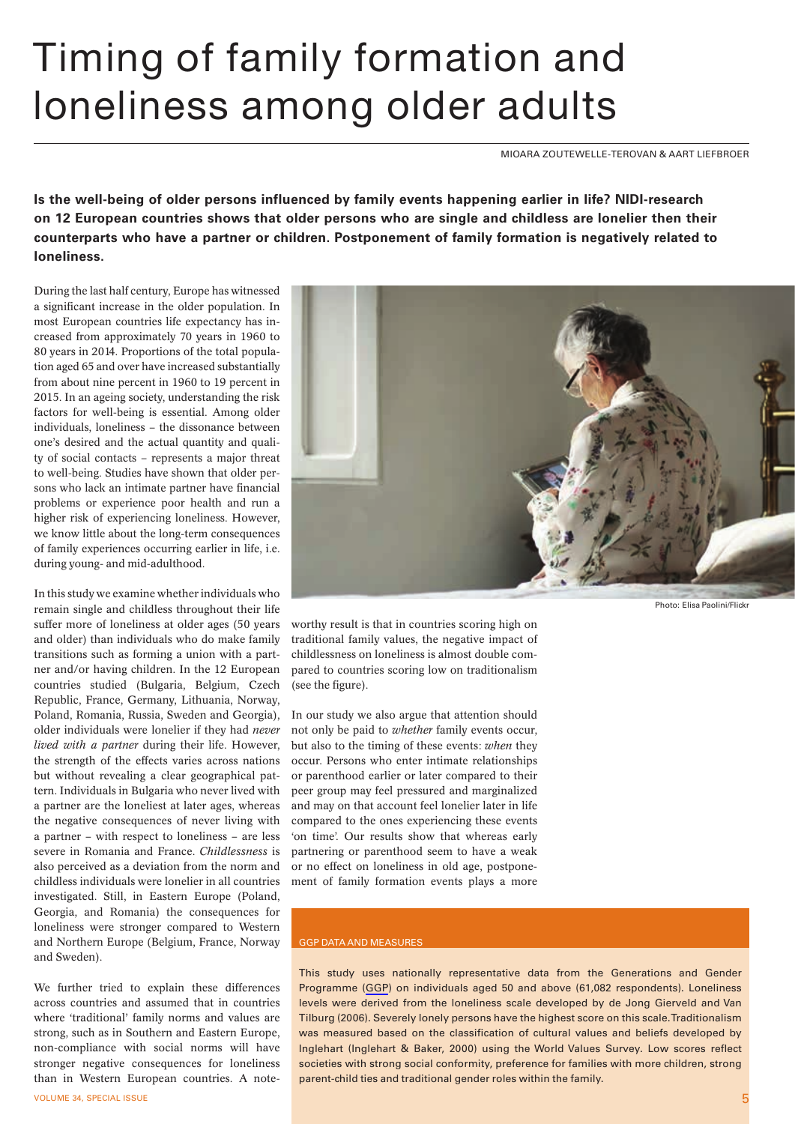## Timing of family formation and loneliness among older adults

MIOARA ZOUTEWELLE-TEROVAN & AART LIEFBROER

**Is the well-being of older persons influenced by family events happening earlier in life? NIDI-research on 12 European countries shows that older persons who are single and childless are lonelier then their counterparts who have a partner or children. Postponement of family formation is negatively related to loneliness.**

During the last half century, Europe has witnessed a significant increase in the older population. In most European countries life expectancy has increased from approximately 70 years in 1960 to 80 years in 2014. Proportions of the total population aged 65 and over have increased substantially from about nine percent in 1960 to 19 percent in 2015. In an ageing society, understanding the risk factors for well-being is essential. Among older individuals, loneliness – the dissonance between one's desired and the actual quantity and quality of social contacts – represents a major threat to well-being. Studies have shown that older persons who lack an intimate partner have financial problems or experience poor health and run a higher risk of experiencing loneliness. However, we know little about the long-term consequences of family experiences occurring earlier in life, i.e. during young- and mid-adulthood.

In this study we examine whether individuals who remain single and childless throughout their life suffer more of loneliness at older ages (50 years and older) than individuals who do make family transitions such as forming a union with a partner and/or having children. In the 12 European countries studied (Bulgaria, Belgium, Czech Republic, France, Germany, Lithuania, Norway, Poland, Romania, Russia, Sweden and Georgia), older individuals were lonelier if they had *never lived with a partner* during their life. However, the strength of the effects varies across nations but without revealing a clear geographical pattern. Individuals in Bulgaria who never lived with a partner are the loneliest at later ages, whereas the negative consequences of never living with a partner – with respect to loneliness – are less severe in Romania and France. *Childlessness* is also perceived as a deviation from the norm and childless individuals were lonelier in all countries investigated. Still, in Eastern Europe (Poland, Georgia, and Romania) the consequences for loneliness were stronger compared to Western and Northern Europe (Belgium, France, Norway and Sweden).

We further tried to explain these differences across countries and assumed that in countries where 'traditional' family norms and values are strong, such as in Southern and Eastern Europe, non-compliance with social norms will have stronger negative consequences for loneliness than in Western European countries. A note-



Photo: Elisa Paolini/Flickr

worthy result is that in countries scoring high on traditional family values, the negative impact of childlessness on loneliness is almost double compared to countries scoring low on traditionalism (see the figure).

In our study we also argue that attention should not only be paid to *whether* family events occur, but also to the timing of these events: *when* they occur. Persons who enter intimate relationships or parenthood earlier or later compared to their peer group may feel pressured and marginalized and may on that account feel lonelier later in life compared to the ones experiencing these events 'on time'. Our results show that whereas early partnering or parenthood seem to have a weak or no effect on loneliness in old age, postponement of family formation events plays a more

## GGP DATA AND MEASURES

This study uses nationally representative data from the Generations and Gender Programme ([GGP\)](http://www.ggp-i.org/) on individuals aged 50 and above (61,082 respondents). Loneliness levels were derived from the loneliness scale developed by de Jong Gierveld and Van Tilburg (2006). Severely lonely persons have the highest score on this scale. Traditionalism was measured based on the classification of cultural values and beliefs developed by Inglehart (Inglehart & Baker, 2000) using the World Values Survey. Low scores reflect societies with strong social conformity, preference for families with more children, strong parent-child ties and traditional gender roles within the family.